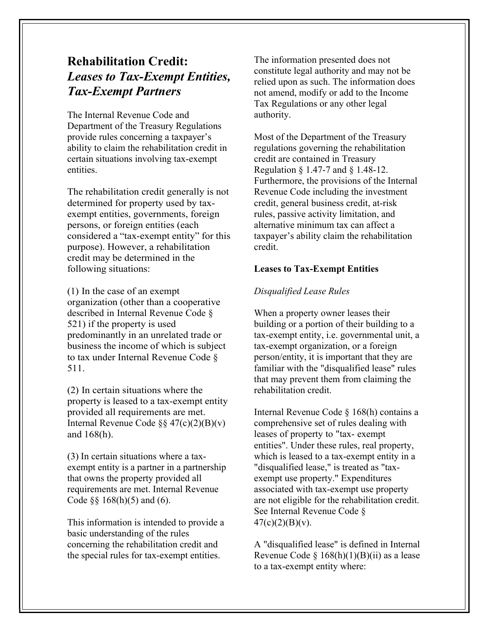# **Rehabilitation Credit:** *Leases to Tax-Exempt Entities, Tax-Exempt Partners*

The Internal Revenue Code and Department of the Treasury Regulations provide rules concerning a taxpayer's ability to claim the rehabilitation credit in certain situations involving tax-exempt entities.

The rehabilitation credit generally is not determined for property used by taxexempt entities, governments, foreign persons, or foreign entities (each considered a "tax-exempt entity" for this purpose). However, a rehabilitation credit may be determined in the following situations:

(1) In the case of an exempt organization (other than a cooperative described in Internal Revenue Code § 521) if the property is used predominantly in an unrelated trade or business the income of which is subject to tax under Internal Revenue Code § 511.

(2) In certain situations where the property is leased to a tax-exempt entity provided all requirements are met. Internal Revenue Code §§ 47(c)(2)(B)(v) and 168(h).

(3) In certain situations where a taxexempt entity is a partner in a partnership that owns the property provided all requirements are met. Internal Revenue Code  $\S$ § 168(h)(5) and (6).

This information is intended to provide a basic understanding of the rules concerning the rehabilitation credit and the special rules for tax-exempt entities.

The information presented does not constitute legal authority and may not be relied upon as such. The information does not amend, modify or add to the Income Tax Regulations or any other legal authority.

Most of the Department of the Treasury regulations governing the rehabilitation credit are contained in Treasury Regulation § 1.47-7 and § 1.48-12. Furthermore, the provisions of the Internal Revenue Code including the investment credit, general business credit, at-risk rules, passive activity limitation, and alternative minimum tax can affect a taxpayer's ability claim the rehabilitation credit.

# **Leases to Tax-Exempt Entities**

# *Disqualified Lease Rules*

When a property owner leases their building or a portion of their building to a tax-exempt entity, i.e. governmental unit, a tax-exempt organization, or a foreign person/entity, it is important that they are familiar with the "disqualified lease" rules that may prevent them from claiming the rehabilitation credit.

Internal Revenue Code § 168(h) contains a comprehensive set of rules dealing with leases of property to "tax- exempt entities". Under these rules, real property, which is leased to a tax-exempt entity in a "disqualified lease," is treated as "taxexempt use property." Expenditures associated with tax-exempt use property are not eligible for the rehabilitation credit. See Internal Revenue Code §  $47(c)(2)(B)(v)$ .

A "disqualified lease" is defined in Internal Revenue Code §  $168(h)(1)(B)(ii)$  as a lease to a tax-exempt entity where: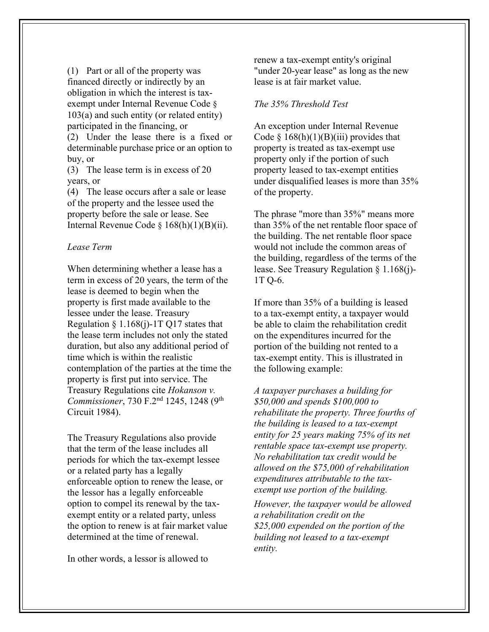(1) Part or all of the property was financed directly or indirectly by an obligation in which the interest is taxexempt under Internal Revenue Code § 103(a) and such entity (or related entity) participated in the financing, or (2) Under the lease there is a fixed or determinable purchase price or an option to buy, or

(3) The lease term is in excess of 20 years, or

(4) The lease occurs after a sale or lease of the property and the lessee used the property before the sale or lease. See Internal Revenue Code § 168(h)(1)(B)(ii).

#### *Lease Term*

When determining whether a lease has a term in excess of 20 years, the term of the lease is deemed to begin when the property is first made available to the lessee under the lease. Treasury Regulation  $\S 1.168(j)$ -1T Q17 states that the lease term includes not only the stated duration, but also any additional period of time which is within the realistic contemplation of the parties at the time the property is first put into service. The Treasury Regulations cite *Hokanson v. Commissioner*, 730 F.2nd 1245, 1248 (9th Circuit 1984).

The Treasury Regulations also provide that the term of the lease includes all periods for which the tax-exempt lessee or a related party has a legally enforceable option to renew the lease, or the lessor has a legally enforceable option to compel its renewal by the taxexempt entity or a related party, unless the option to renew is at fair market value determined at the time of renewal.

In other words, a lessor is allowed to

renew a tax-exempt entity's original "under 20-year lease" as long as the new lease is at fair market value.

#### *The 35% Threshold Test*

An exception under Internal Revenue Code  $\S$  168(h)(1)(B)(iii) provides that property is treated as tax-exempt use property only if the portion of such property leased to tax-exempt entities under disqualified leases is more than 35% of the property.

The phrase "more than 35%" means more than 35% of the net rentable floor space of the building. The net rentable floor space would not include the common areas of the building, regardless of the terms of the lease. See Treasury Regulation § 1.168(j)- 1T Q-6.

If more than 35% of a building is leased to a tax-exempt entity, a taxpayer would be able to claim the rehabilitation credit on the expenditures incurred for the portion of the building not rented to a tax-exempt entity. This is illustrated in the following example:

*A taxpayer purchases a building for \$50,000 and spends \$100,000 to rehabilitate the property. Three fourths of the building is leased to a tax-exempt entity for 25 years making 75% of its net rentable space tax-exempt use property. No rehabilitation tax credit would be allowed on the \$75,000 of rehabilitation expenditures attributable to the taxexempt use portion of the building.*

*However, the taxpayer would be allowed a rehabilitation credit on the \$25,000 expended on the portion of the building not leased to a tax-exempt entity.*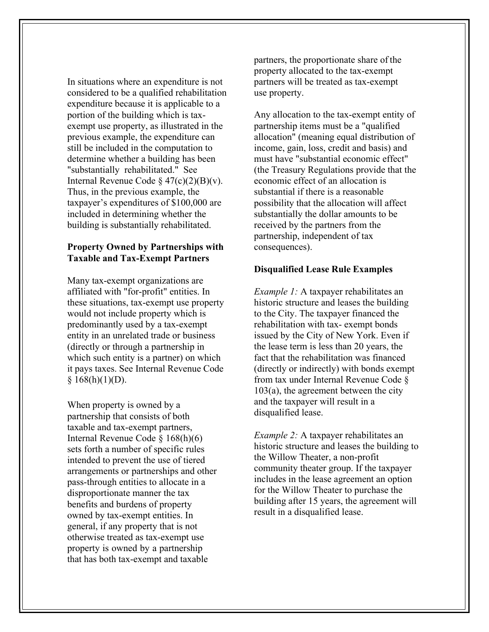In situations where an expenditure is not considered to be a qualified rehabilitation expenditure because it is applicable to a portion of the building which is taxexempt use property, as illustrated in the previous example, the expenditure can still be included in the computation to determine whether a building has been "substantially rehabilitated." See Internal Revenue Code  $\S 47(c)(2)(B)(v)$ . Thus, in the previous example, the taxpayer's expenditures of \$100,000 are included in determining whether the building is substantially rehabilitated.

# **Property Owned by Partnerships with Taxable and Tax-Exempt Partners**

Many tax-exempt organizations are affiliated with "for-profit" entities. In these situations, tax-exempt use property would not include property which is predominantly used by a tax-exempt entity in an unrelated trade or business (directly or through a partnership in which such entity is a partner) on which it pays taxes. See Internal Revenue Code  $§ 168(h)(1)(D).$ 

When property is owned by a partnership that consists of both taxable and tax-exempt partners, Internal Revenue Code § 168(h)(6) sets forth a number of specific rules intended to prevent the use of tiered arrangements or partnerships and other pass-through entities to allocate in a disproportionate manner the tax benefits and burdens of property owned by tax-exempt entities. In general, if any property that is not otherwise treated as tax-exempt use property is owned by a partnership that has both tax-exempt and taxable

partners, the proportionate share of the property allocated to the tax-exempt partners will be treated as tax-exempt use property.

Any allocation to the tax-exempt entity of partnership items must be a "qualified allocation" (meaning equal distribution of income, gain, loss, credit and basis) and must have "substantial economic effect" (the Treasury Regulations provide that the economic effect of an allocation is substantial if there is a reasonable possibility that the allocation will affect substantially the dollar amounts to be received by the partners from the partnership, independent of tax consequences).

## **Disqualified Lease Rule Examples**

*Example 1:* A taxpayer rehabilitates an historic structure and leases the building to the City. The taxpayer financed the rehabilitation with tax- exempt bonds issued by the City of New York. Even if the lease term is less than 20 years, the fact that the rehabilitation was financed (directly or indirectly) with bonds exempt from tax under Internal Revenue Code § 103(a), the agreement between the city and the taxpayer will result in a disqualified lease.

*Example 2:* A taxpayer rehabilitates an historic structure and leases the building to the Willow Theater, a non-profit community theater group. If the taxpayer includes in the lease agreement an option for the Willow Theater to purchase the building after 15 years, the agreement will result in a disqualified lease.